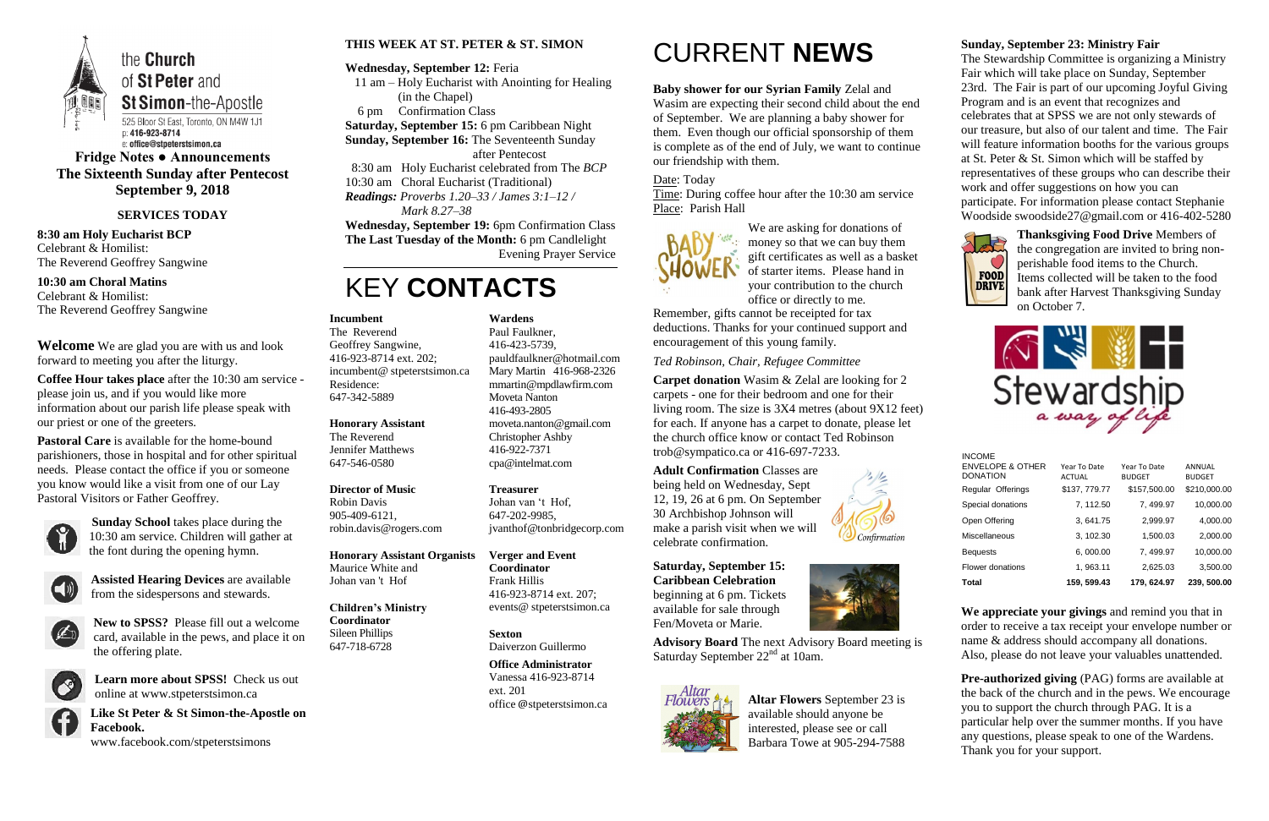

**Fridge Notes ● Announcements The Sixteenth Sunday after Pentecost September 9, 2018**

#### **SERVICES TODAY**

**8:30 am Holy Eucharist BCP** Celebrant & Homilist: The Reverend Geoffrey Sangwine

**10:30 am Choral Matins** Celebrant & Homilist: The Reverend Geoffrey Sangwine

**Welcome** We are glad you are with us and look forward to meeting you after the liturgy.

**Coffee Hour takes place** after the 10:30 am service please join us, and if you would like more information about our parish life please speak with our priest or one of the greeters.

**Pastoral Care** is available for the home-bound parishioners, those in hospital and for other spiritual needs. Please contact the office if you or someone you know would like a visit from one of our Lay Pastoral Visitors or Father Geoffrey.



**Sunday School** takes place during the 10:30 am service. Children will gather at the font during the opening hymn.



**Assisted Hearing Devices** are available from the sidespersons and stewards.



**New to SPSS?** Please fill out a welcome card, available in the pews, and place it on the offering plate.



**Learn more about SPSS!** Check us out online at www.stpeterstsimon.ca



**Like St Peter & St Simon-the-Apostle on Facebook.** 

www.facebook.com/stpeterstsimons

#### **THIS WEEK AT ST. PETER & ST. SIMON**

#### **Wednesday, September 12:** Feria

- 11 am Holy Eucharist with Anointing for Healing (in the Chapel)
- 6 pm Confirmation Class

**Saturday, September 15:** 6 pm Caribbean Night

**Sunday, September 16:** The Seventeenth Sunday

after Pentecost

8:30 am Holy Eucharist celebrated from The *BCP*

**Advisory Board** The next Advisory Board meeting is Saturday September 22<sup>nd</sup> at 10am.



10:30 am Choral Eucharist (Traditional)

*Readings: Proverbs 1.20–33 / James 3:1–12 / Mark 8.27–38*

**Wednesday, September 19:** 6pm Confirmation Class **The Last Tuesday of the Month:** 6 pm Candlelight Evening Prayer Service

# KEY **CONTACTS**

# CURRENT **NEWS**

#### **Baby shower for our Syrian Family** Zelal and

Wasim are expecting their second child about the end of September. We are planning a baby shower for them. Even though our official sponsorship of them is complete as of the end of July, we want to continue our friendship with them.

#### Date: Today

Time: During coffee hour after the 10:30 am service Place: Parish Hall



We are asking for donations of money so that we can buy them gift certificates as well as a basket of starter items. Please hand in your contribution to the church office or directly to me.

> **Pre-authorized giving (PAG) forms are available at** the back of the church and in the pews. We encourage you to support the church through PAG. It is a particular help over the summer months. If you have any questions, please speak to one of the Wardens. Thank you for your support.

Remember, gifts cannot be receipted for tax deductions. Thanks for your continued support and encouragement of this young family.

#### *Ted Robinson, Chair, Refugee Committee*

**Carpet donation** Wasim & Zelal are looking for 2 carpets - one for their bedroom and one for their living room. The size is 3X4 metres (about 9X12 feet) for each. If anyone has a carpet to donate, please let the church office know or contact Ted Robinson trob@sympatico.ca or 416-697-7233.

**Adult Confirmation** Classes are being held on Wednesday, Sept 12, 19, 26 at 6 pm. On September 30 Archbishop Johnson will make a parish visit when we will celebrate confirmation.

**Saturday, September 15: Caribbean Celebration** beginning at 6 pm. Tickets available for sale through Fen/Moveta or Marie.



**Altar Flowers** September 23 is available should anyone be interested, please see or call Barbara Towe at 905-294-7588

#### **Sunday, September 23: Ministry Fair**

The Stewardship Committee is organizing a Ministry Fair which will take place on Sunday, September 23rd. The Fair is part of our upcoming Joyful Giving Program and is an event that recognizes and celebrates that at SPSS we are not only stewards of our treasure, but also of our talent and time. The Fair will feature information booths for the various groups at St. Peter & St. Simon which will be staffed by representatives of these groups who can describe their work and offer suggestions on how you can participate. For information please contact Stephanie Woodside swoodside27@gmail.com or 416-402-5280



**Thanksgiving Food Drive** Members of the congregation are invited to bring nonperishable food items to the Church. Items collected will be taken to the food bank after Harvest Thanksgiving Sunday on October 7.



**We appreciate your givings** and remind you that in order to receive a tax receipt your envelope number or name & address should accompany all donations. Also, please do not leave your valuables unattended.

#### **Incumbent**

The Reverend Geoffrey Sangwine, 416-923-8714 ext. 202; incumbent@ stpeterstsimon.ca Residence: 647-342-5889

#### **Honorary Assistant**

The Reverend Jennifer Matthews 647-546-0580

#### **Director of Music**

Robin Davis 905-409-6121, robin.davis@rogers.com

**Honorary Assistant Organists**  Maurice White and Johan van 't Hof

**Children's Ministry Coordinator** Sileen Phillips

647-718-6728

**Wardens**  Paul Faulkner,

416-423-5739, [pauldfaulkner@hotmail.com](mailto:pauldfaulkner@hotmail.com)  Mary Martin 416-968-2326 mmartin@mpdlawfirm.com Moveta Nanton 416-493-2805

moveta.nanton@gmail.com Christopher Ashby 416-922-7371 cpa@intelmat.com

**Treasurer**  Johan van 't Hof, 647-202-9985, jvanthof@tonbridgecorp.com

**Verger and Event Coordinator** Frank Hillis 416-923-8714 ext. 207; events@ stpeterstsimon.ca

**Sexton** Daiverzon Guillermo

**Office Administrator** Vanessa 416-923-8714 ext. 201 office @stpeterstsimon.ca INCOME

| 10,000.00<br>3,500.00   |
|-------------------------|
|                         |
|                         |
| 2,000.00                |
| 4,000.00                |
| 10,000.00               |
| \$210,000.00            |
| ANNUAL<br><b>BUDGET</b> |
|                         |